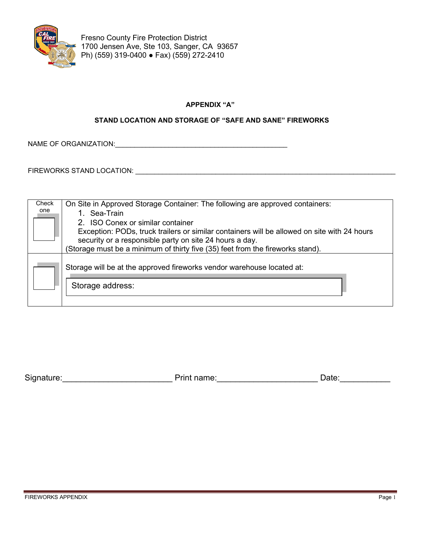

**Fresno County Fire Protection District** 1700 Jensen Ave, Ste 103, Sanger, CA 93657 Ph) (559) 319-0400 ● Fax) (559) 272-2410

# **APPENDIX "A"**

# **STAND LOCATION AND STORAGE OF "SAFE AND SANE" FIREWORKS**

NAME OF ORGANIZATION:\_\_\_\_\_\_\_\_\_\_\_\_\_\_\_\_\_\_\_\_\_\_\_\_\_\_\_\_\_\_\_\_\_\_\_\_\_\_\_\_\_\_\_\_\_

FIREWORKS STAND LOCATION: \_\_\_\_\_\_\_\_\_\_\_\_\_\_\_\_\_\_\_\_\_\_\_\_\_\_\_\_\_\_\_\_\_\_\_\_\_\_\_\_\_\_\_\_\_\_\_\_\_\_\_\_\_\_\_\_\_\_\_\_\_\_\_\_\_\_\_\_

| Check | On Site in Approved Storage Container: The following are approved containers:                                                                          |
|-------|--------------------------------------------------------------------------------------------------------------------------------------------------------|
| one   | 1. Sea-Train                                                                                                                                           |
|       | 2. ISO Conex or similar container                                                                                                                      |
|       | Exception: PODs, truck trailers or similar containers will be allowed on site with 24 hours<br>security or a responsible party on site 24 hours a day. |
|       | (Storage must be a minimum of thirty five (35) feet from the fireworks stand).                                                                         |
|       | Storage will be at the approved fireworks vendor warehouse located at:                                                                                 |
|       | Storage address:                                                                                                                                       |
|       |                                                                                                                                                        |

| Signature: | Print name: | Jate |
|------------|-------------|------|
|            |             |      |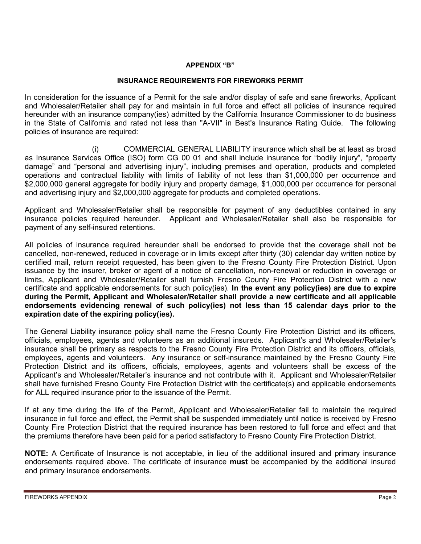# **APPENDIX "B"**

#### **INSURANCE REQUIREMENTS FOR FIREWORKS PERMIT**

In consideration for the issuance of a Permit for the sale and/or display of safe and sane fireworks, Applicant and Wholesaler/Retailer shall pay for and maintain in full force and effect all policies of insurance required hereunder with an insurance company(ies) admitted by the California Insurance Commissioner to do business in the State of California and rated not less than "A-VII" in Best's Insurance Rating Guide. The following policies of insurance are required:

 (i) COMMERCIAL GENERAL LIABILITY insurance which shall be at least as broad as Insurance Services Office (ISO) form CG 00 01 and shall include insurance for "bodily injury", "property damage" and "personal and advertising injury", including premises and operation, products and completed operations and contractual liability with limits of liability of not less than \$1,000,000 per occurrence and \$2,000,000 general aggregate for bodily injury and property damage, \$1,000,000 per occurrence for personal and advertising injury and \$2,000,000 aggregate for products and completed operations.

Applicant and Wholesaler/Retailer shall be responsible for payment of any deductibles contained in any insurance policies required hereunder. Applicant and Wholesaler/Retailer shall also be responsible for payment of any self-insured retentions.

All policies of insurance required hereunder shall be endorsed to provide that the coverage shall not be cancelled, non-renewed, reduced in coverage or in limits except after thirty (30) calendar day written notice by certified mail, return receipt requested, has been given to the Fresno County Fire Protection District. Upon issuance by the insurer, broker or agent of a notice of cancellation, non-renewal or reduction in coverage or limits, Applicant and Wholesaler/Retailer shall furnish Fresno County Fire Protection District with a new certificate and applicable endorsements for such policy(ies). **In the event any policy(ies) are due to expire during the Permit, Applicant and Wholesaler/Retailer shall provide a new certificate and all applicable endorsements evidencing renewal of such policy(ies) not less than 15 calendar days prior to the expiration date of the expiring policy(ies).**

The General Liability insurance policy shall name the Fresno County Fire Protection District and its officers, officials, employees, agents and volunteers as an additional insureds. Applicant's and Wholesaler/Retailer's insurance shall be primary as respects to the Fresno County Fire Protection District and its officers, officials, employees, agents and volunteers. Any insurance or self-insurance maintained by the Fresno County Fire Protection District and its officers, officials, employees, agents and volunteers shall be excess of the Applicant's and Wholesaler/Retailer's insurance and not contribute with it. Applicant and Wholesaler/Retailer shall have furnished Fresno County Fire Protection District with the certificate(s) and applicable endorsements for ALL required insurance prior to the issuance of the Permit.

If at any time during the life of the Permit, Applicant and Wholesaler/Retailer fail to maintain the required insurance in full force and effect, the Permit shall be suspended immediately until notice is received by Fresno County Fire Protection District that the required insurance has been restored to full force and effect and that the premiums therefore have been paid for a period satisfactory to Fresno County Fire Protection District.

**NOTE:** A Certificate of Insurance is not acceptable, in lieu of the additional insured and primary insurance endorsements required above. The certificate of insurance **must** be accompanied by the additional insured and primary insurance endorsements.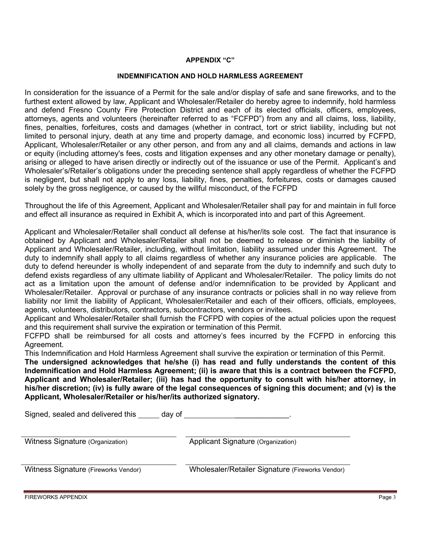# **APPENDIX "C"**

#### **INDEMNIFICATION AND HOLD HARMLESS AGREEMENT**

In consideration for the issuance of a Permit for the sale and/or display of safe and sane fireworks, and to the furthest extent allowed by law, Applicant and Wholesaler/Retailer do hereby agree to indemnify, hold harmless and defend Fresno County Fire Protection District and each of its elected officials, officers, employees, attorneys, agents and volunteers (hereinafter referred to as "FCFPD") from any and all claims, loss, liability, fines, penalties, forfeitures, costs and damages (whether in contract, tort or strict liability, including but not limited to personal injury, death at any time and property damage, and economic loss) incurred by FCFPD, Applicant, Wholesaler/Retailer or any other person, and from any and all claims, demands and actions in law or equity (including attorney's fees, costs and litigation expenses and any other monetary damage or penalty), arising or alleged to have arisen directly or indirectly out of the issuance or use of the Permit. Applicant's and Wholesaler's/Retailer's obligations under the preceding sentence shall apply regardless of whether the FCFPD is negligent, but shall not apply to any loss, liability, fines, penalties, forfeitures, costs or damages caused solely by the gross negligence, or caused by the willful misconduct, of the FCFPD

Throughout the life of this Agreement, Applicant and Wholesaler/Retailer shall pay for and maintain in full force and effect all insurance as required in Exhibit A, which is incorporated into and part of this Agreement.

Applicant and Wholesaler/Retailer shall conduct all defense at his/her/its sole cost. The fact that insurance is obtained by Applicant and Wholesaler/Retailer shall not be deemed to release or diminish the liability of Applicant and Wholesaler/Retailer, including, without limitation, liability assumed under this Agreement. The duty to indemnify shall apply to all claims regardless of whether any insurance policies are applicable. The duty to defend hereunder is wholly independent of and separate from the duty to indemnify and such duty to defend exists regardless of any ultimate liability of Applicant and Wholesaler/Retailer. The policy limits do not act as a limitation upon the amount of defense and/or indemnification to be provided by Applicant and Wholesaler/Retailer. Approval or purchase of any insurance contracts or policies shall in no way relieve from liability nor limit the liability of Applicant, Wholesaler/Retailer and each of their officers, officials, employees, agents, volunteers, distributors, contractors, subcontractors, vendors or invitees.

Applicant and Wholesaler/Retailer shall furnish the FCFPD with copies of the actual policies upon the request and this requirement shall survive the expiration or termination of this Permit.

FCFPD shall be reimbursed for all costs and attorney's fees incurred by the FCFPD in enforcing this Agreement.

This Indemnification and Hold Harmless Agreement shall survive the expiration or termination of this Permit.

**The undersigned acknowledges that he/she (i) has read and fully understands the content of this Indemnification and Hold Harmless Agreement; (ii) is aware that this is a contract between the FCFPD, Applicant and Wholesaler/Retailer; (iii) has had the opportunity to consult with his/her attorney, in his/her discretion; (iv) is fully aware of the legal consequences of signing this document; and (v) is the Applicant, Wholesaler/Retailer or his/her/its authorized signatory.** 

Signed, sealed and delivered this \_\_\_\_\_\_ day of \_\_\_\_\_\_\_\_\_\_

| Witness Signature (Organization)     | Applicant Signature (Organization)               |
|--------------------------------------|--------------------------------------------------|
| Witness Signature (Fireworks Vendor) | Wholesaler/Retailer Signature (Fireworks Vendor) |

FIREWORKS APPENDIX Page 3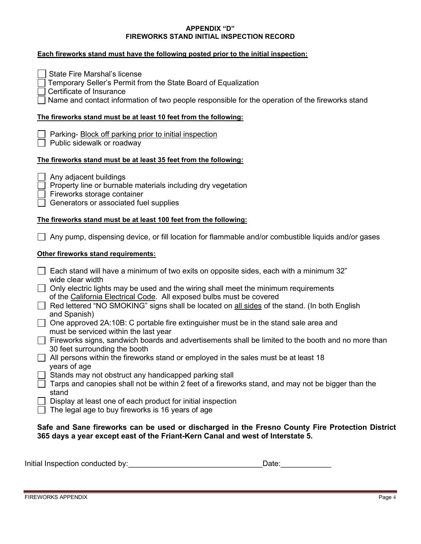#### **APPENDIX "D" FIREWORKS STAND INITIAL INSPECTION RECORD**

| Each fireworks stand must have the following posted prior to the initial inspection:                                                                                                                                                                                                                                                                                                                                                                                                                                                                                                                                                                                                                                                                                                                                                                                                                                                                                                                                                                                 |
|----------------------------------------------------------------------------------------------------------------------------------------------------------------------------------------------------------------------------------------------------------------------------------------------------------------------------------------------------------------------------------------------------------------------------------------------------------------------------------------------------------------------------------------------------------------------------------------------------------------------------------------------------------------------------------------------------------------------------------------------------------------------------------------------------------------------------------------------------------------------------------------------------------------------------------------------------------------------------------------------------------------------------------------------------------------------|
| <b>State Fire Marshal's license</b><br>Temporary Seller's Permit from the State Board of Equalization<br>Certificate of Insurance<br>Name and contact information of two people responsible for the operation of the fireworks stand                                                                                                                                                                                                                                                                                                                                                                                                                                                                                                                                                                                                                                                                                                                                                                                                                                 |
| The fireworks stand must be at least 10 feet from the following:                                                                                                                                                                                                                                                                                                                                                                                                                                                                                                                                                                                                                                                                                                                                                                                                                                                                                                                                                                                                     |
| Parking- Block off parking prior to initial inspection<br>Public sidewalk or roadway                                                                                                                                                                                                                                                                                                                                                                                                                                                                                                                                                                                                                                                                                                                                                                                                                                                                                                                                                                                 |
| The fireworks stand must be at least 35 feet from the following:                                                                                                                                                                                                                                                                                                                                                                                                                                                                                                                                                                                                                                                                                                                                                                                                                                                                                                                                                                                                     |
| Any adjacent buildings<br>Property line or burnable materials including dry vegetation<br>Fireworks storage container<br>Generators or associated fuel supplies                                                                                                                                                                                                                                                                                                                                                                                                                                                                                                                                                                                                                                                                                                                                                                                                                                                                                                      |
| The fireworks stand must be at least 100 feet from the following:                                                                                                                                                                                                                                                                                                                                                                                                                                                                                                                                                                                                                                                                                                                                                                                                                                                                                                                                                                                                    |
| Any pump, dispensing device, or fill location for flammable and/or combustible liquids and/or gases                                                                                                                                                                                                                                                                                                                                                                                                                                                                                                                                                                                                                                                                                                                                                                                                                                                                                                                                                                  |
| Other fireworks stand requirements:                                                                                                                                                                                                                                                                                                                                                                                                                                                                                                                                                                                                                                                                                                                                                                                                                                                                                                                                                                                                                                  |
| Each stand will have a minimum of two exits on opposite sides, each with a minimum 32"<br>wide clear width<br>Only electric lights may be used and the wiring shall meet the minimum requirements<br>of the California Electrical Code. All exposed bulbs must be covered<br>Red lettered "NO SMOKING" signs shall be located on all sides of the stand. (In both English<br>and Spanish)<br>One approved 2A:10B: C portable fire extinguisher must be in the stand sale area and<br>must be serviced within the last year<br>Fireworks signs, sandwich boards and advertisements shall be limited to the booth and no more than<br>30 feet surrounding the booth<br>All persons within the fireworks stand or employed in the sales must be at least 18<br>years of age<br>Stands may not obstruct any handicapped parking stall<br>Tarps and canopies shall not be within 2 feet of a fireworks stand, and may not be bigger than the<br>stand<br>Display at least one of each product for initial inspection<br>The legal age to buy fireworks is 16 years of age |
| Safe and Sane fireworks can be used or discharged in the Fresno County Fire Protection District<br>365 days a year except east of the Friant-Kern Canal and west of Interstate 5.                                                                                                                                                                                                                                                                                                                                                                                                                                                                                                                                                                                                                                                                                                                                                                                                                                                                                    |

| Initial Inspection conducted by:<br>Date: |  |
|-------------------------------------------|--|
|-------------------------------------------|--|